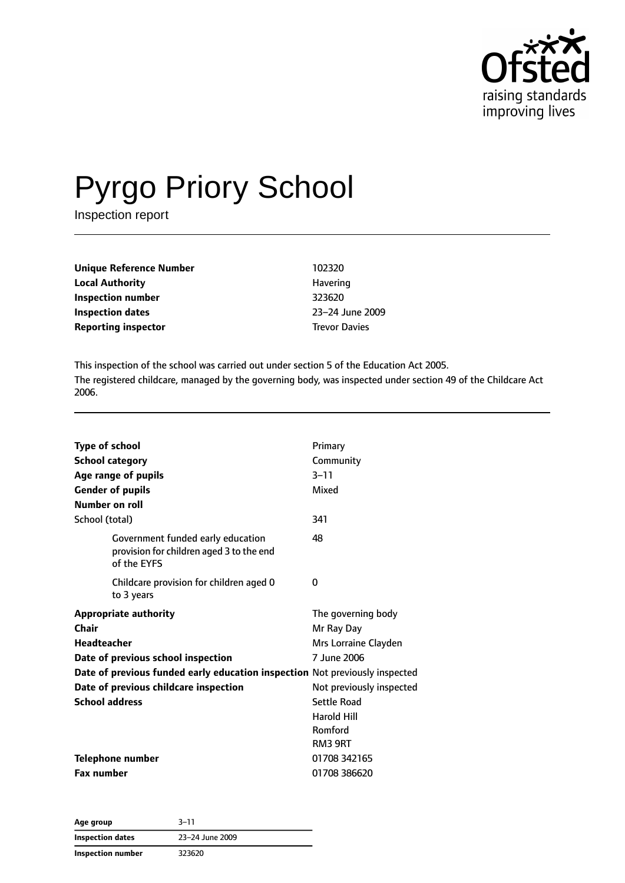

# Pyrgo Priory School

Inspection report

| Unique Reference Number | 102320               |
|-------------------------|----------------------|
| Local Authority         | Havering             |
| Inspection number       | 323620               |
| Inspection dates        | 23-24 June 2009      |
| Reporting inspector     | <b>Trevor Davies</b> |
|                         |                      |

This inspection of the school was carried out under section 5 of the Education Act 2005. The registered childcare, managed by the governing body, was inspected under section 49 of the Childcare Act 2006.

| <b>Type of school</b><br><b>School category</b><br>Age range of pupils<br><b>Gender of pupils</b><br>Number on roll<br>School (total)                                                                                                              | Primary<br>Community<br>$3 - 11$<br>Mixed<br>341                                                                                                                      |
|----------------------------------------------------------------------------------------------------------------------------------------------------------------------------------------------------------------------------------------------------|-----------------------------------------------------------------------------------------------------------------------------------------------------------------------|
| Government funded early education<br>provision for children aged 3 to the end<br>of the EYFS                                                                                                                                                       | 48                                                                                                                                                                    |
| Childcare provision for children aged 0<br>to 3 years                                                                                                                                                                                              | 0                                                                                                                                                                     |
| <b>Appropriate authority</b><br>Chair<br><b>Headteacher</b><br>Date of previous school inspection<br>Date of previous funded early education inspection Not previously inspected<br>Date of previous childcare inspection<br><b>School address</b> | The governing body<br>Mr Ray Day<br>Mrs Lorraine Clayden<br>7 June 2006<br>Not previously inspected<br>Settle Road<br><b>Harold Hill</b><br>Romford<br><b>RM3 9RT</b> |
| <b>Telephone number</b><br><b>Fax number</b>                                                                                                                                                                                                       | 01708 342165<br>01708 386620                                                                                                                                          |

| Age group               | $3 - 11$        |  |
|-------------------------|-----------------|--|
| <b>Inspection dates</b> | 23-24 June 2009 |  |
| Inspection number       | 323620          |  |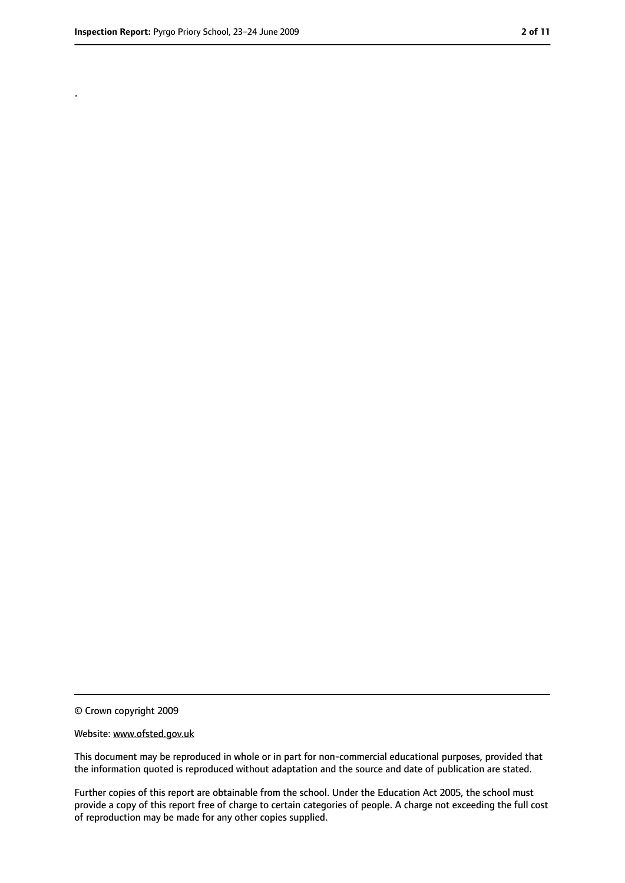.

<sup>©</sup> Crown copyright 2009

Website: www.ofsted.gov.uk

This document may be reproduced in whole or in part for non-commercial educational purposes, provided that the information quoted is reproduced without adaptation and the source and date of publication are stated.

Further copies of this report are obtainable from the school. Under the Education Act 2005, the school must provide a copy of this report free of charge to certain categories of people. A charge not exceeding the full cost of reproduction may be made for any other copies supplied.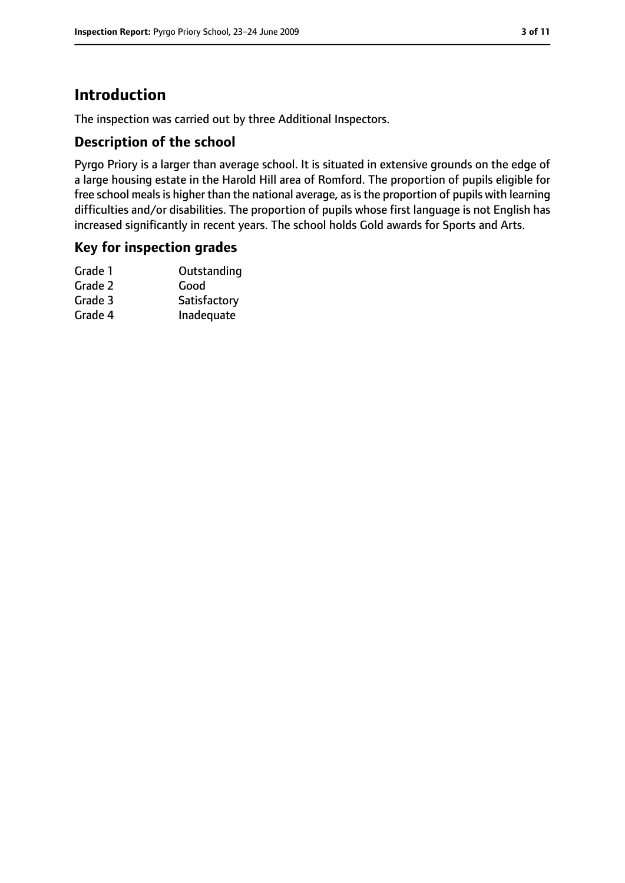# **Introduction**

The inspection was carried out by three Additional Inspectors.

## **Description of the school**

Pyrgo Priory is a larger than average school. It is situated in extensive grounds on the edge of a large housing estate in the Harold Hill area of Romford. The proportion of pupils eligible for free school meals is higher than the national average, as is the proportion of pupils with learning difficulties and/or disabilities. The proportion of pupils whose first language is not English has increased significantly in recent years. The school holds Gold awards for Sports and Arts.

## **Key for inspection grades**

| Grade 1 | Outstanding  |
|---------|--------------|
| Grade 2 | Good         |
| Grade 3 | Satisfactory |
| Grade 4 | Inadequate   |
|         |              |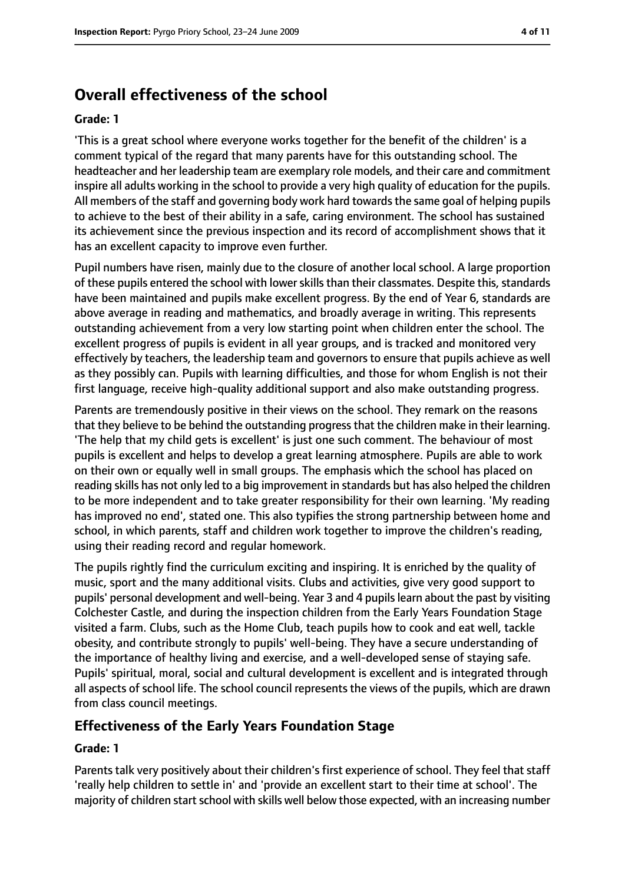# **Overall effectiveness of the school**

#### **Grade: 1**

'This is a great school where everyone works together for the benefit of the children' is a comment typical of the regard that many parents have for this outstanding school. The headteacher and her leadership team are exemplary role models, and their care and commitment inspire all adults working in the school to provide a very high quality of education for the pupils. All members of the staff and governing body work hard towards the same goal of helping pupils to achieve to the best of their ability in a safe, caring environment. The school has sustained its achievement since the previous inspection and its record of accomplishment shows that it has an excellent capacity to improve even further.

Pupil numbers have risen, mainly due to the closure of another local school. A large proportion of these pupils entered the school with lower skills than their classmates. Despite this, standards have been maintained and pupils make excellent progress. By the end of Year 6, standards are above average in reading and mathematics, and broadly average in writing. This represents outstanding achievement from a very low starting point when children enter the school. The excellent progress of pupils is evident in all year groups, and is tracked and monitored very effectively by teachers, the leadership team and governors to ensure that pupils achieve as well as they possibly can. Pupils with learning difficulties, and those for whom English is not their first language, receive high-quality additional support and also make outstanding progress.

Parents are tremendously positive in their views on the school. They remark on the reasons that they believe to be behind the outstanding progressthat the children make in their learning. 'The help that my child gets is excellent' is just one such comment. The behaviour of most pupils is excellent and helps to develop a great learning atmosphere. Pupils are able to work on their own or equally well in small groups. The emphasis which the school has placed on reading skills has not only led to a big improvement in standards but has also helped the children to be more independent and to take greater responsibility for their own learning. 'My reading has improved no end', stated one. This also typifies the strong partnership between home and school, in which parents, staff and children work together to improve the children's reading, using their reading record and regular homework.

The pupils rightly find the curriculum exciting and inspiring. It is enriched by the quality of music, sport and the many additional visits. Clubs and activities, give very good support to pupils' personal development and well-being. Year 3 and 4 pupilslearn about the past by visiting Colchester Castle, and during the inspection children from the Early Years Foundation Stage visited a farm. Clubs, such as the Home Club, teach pupils how to cook and eat well, tackle obesity, and contribute strongly to pupils' well-being. They have a secure understanding of the importance of healthy living and exercise, and a well-developed sense of staying safe. Pupils' spiritual, moral, social and cultural development is excellent and is integrated through all aspects of school life. The school council represents the views of the pupils, which are drawn from class council meetings.

## **Effectiveness of the Early Years Foundation Stage**

#### **Grade: 1**

Parents talk very positively about their children's first experience of school. They feel that staff 'really help children to settle in' and 'provide an excellent start to their time at school'. The majority of children start school with skills well below those expected, with an increasing number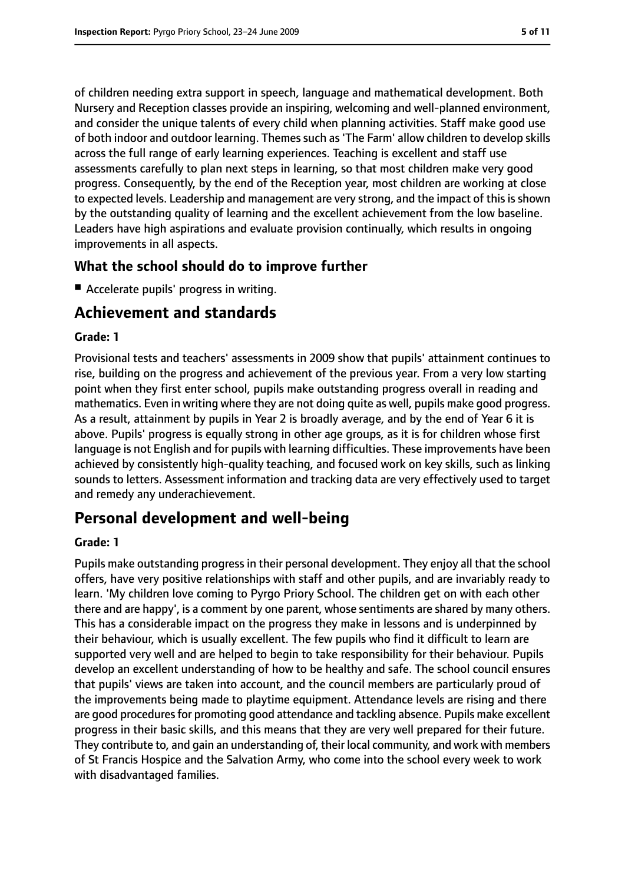of children needing extra support in speech, language and mathematical development. Both Nursery and Reception classes provide an inspiring, welcoming and well-planned environment, and consider the unique talents of every child when planning activities. Staff make good use of both indoor and outdoor learning. Themes such as 'The Farm' allow children to develop skills across the full range of early learning experiences. Teaching is excellent and staff use assessments carefully to plan next steps in learning, so that most children make very good progress. Consequently, by the end of the Reception year, most children are working at close to expected levels. Leadership and management are very strong, and the impact of this is shown by the outstanding quality of learning and the excellent achievement from the low baseline. Leaders have high aspirations and evaluate provision continually, which results in ongoing improvements in all aspects.

## **What the school should do to improve further**

■ Accelerate pupils' progress in writing.

# **Achievement and standards**

#### **Grade: 1**

Provisional tests and teachers' assessments in 2009 show that pupils' attainment continues to rise, building on the progress and achievement of the previous year. From a very low starting point when they first enter school, pupils make outstanding progress overall in reading and mathematics. Even in writing where they are not doing quite as well, pupils make good progress. As a result, attainment by pupils in Year 2 is broadly average, and by the end of Year 6 it is above. Pupils' progress is equally strong in other age groups, as it is for children whose first language is not English and for pupils with learning difficulties. These improvements have been achieved by consistently high-quality teaching, and focused work on key skills, such as linking sounds to letters. Assessment information and tracking data are very effectively used to target and remedy any underachievement.

# **Personal development and well-being**

#### **Grade: 1**

Pupils make outstanding progress in their personal development. They enjoy all that the school offers, have very positive relationships with staff and other pupils, and are invariably ready to learn. 'My children love coming to Pyrgo Priory School. The children get on with each other there and are happy', is a comment by one parent, whose sentiments are shared by many others. This has a considerable impact on the progress they make in lessons and is underpinned by their behaviour, which is usually excellent. The few pupils who find it difficult to learn are supported very well and are helped to begin to take responsibility for their behaviour. Pupils develop an excellent understanding of how to be healthy and safe. The school council ensures that pupils' views are taken into account, and the council members are particularly proud of the improvements being made to playtime equipment. Attendance levels are rising and there are good procedures for promoting good attendance and tackling absence. Pupils make excellent progress in their basic skills, and this means that they are very well prepared for their future. They contribute to, and gain an understanding of, their local community, and work with members of St Francis Hospice and the Salvation Army, who come into the school every week to work with disadvantaged families.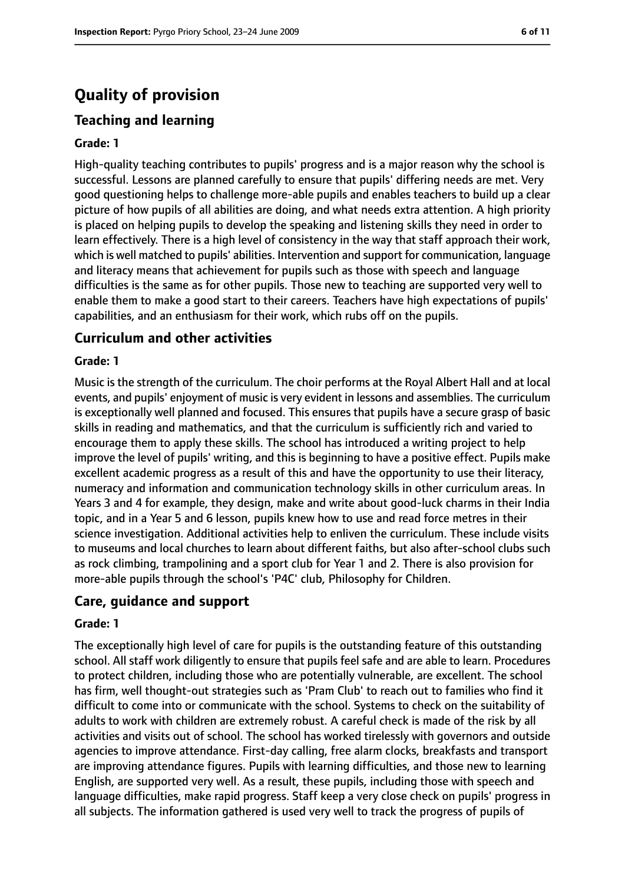# **Quality of provision**

# **Teaching and learning**

#### **Grade: 1**

High-quality teaching contributes to pupils' progress and is a major reason why the school is successful. Lessons are planned carefully to ensure that pupils' differing needs are met. Very good questioning helps to challenge more-able pupils and enables teachers to build up a clear picture of how pupils of all abilities are doing, and what needs extra attention. A high priority is placed on helping pupils to develop the speaking and listening skills they need in order to learn effectively. There is a high level of consistency in the way that staff approach their work, which is well matched to pupils' abilities. Intervention and support for communication, language and literacy means that achievement for pupils such as those with speech and language difficulties is the same as for other pupils. Those new to teaching are supported very well to enable them to make a good start to their careers. Teachers have high expectations of pupils' capabilities, and an enthusiasm for their work, which rubs off on the pupils.

#### **Curriculum and other activities**

#### **Grade: 1**

Music is the strength of the curriculum. The choir performs at the Royal Albert Hall and at local events, and pupils' enjoyment of music is very evident in lessons and assemblies. The curriculum is exceptionally well planned and focused. This ensures that pupils have a secure grasp of basic skills in reading and mathematics, and that the curriculum is sufficiently rich and varied to encourage them to apply these skills. The school has introduced a writing project to help improve the level of pupils' writing, and this is beginning to have a positive effect. Pupils make excellent academic progress as a result of this and have the opportunity to use their literacy, numeracy and information and communication technology skills in other curriculum areas. In Years 3 and 4 for example, they design, make and write about good-luck charms in their India topic, and in a Year 5 and 6 lesson, pupils knew how to use and read force metres in their science investigation. Additional activities help to enliven the curriculum. These include visits to museums and local churches to learn about different faiths, but also after-school clubs such as rock climbing, trampolining and a sport club for Year 1 and 2. There is also provision for more-able pupils through the school's 'P4C' club, Philosophy for Children.

#### **Care, guidance and support**

#### **Grade: 1**

The exceptionally high level of care for pupils is the outstanding feature of this outstanding school. All staff work diligently to ensure that pupils feel safe and are able to learn. Procedures to protect children, including those who are potentially vulnerable, are excellent. The school has firm, well thought-out strategies such as 'Pram Club' to reach out to families who find it difficult to come into or communicate with the school. Systems to check on the suitability of adults to work with children are extremely robust. A careful check is made of the risk by all activities and visits out of school. The school has worked tirelessly with governors and outside agencies to improve attendance. First-day calling, free alarm clocks, breakfasts and transport are improving attendance figures. Pupils with learning difficulties, and those new to learning English, are supported very well. As a result, these pupils, including those with speech and language difficulties, make rapid progress. Staff keep a very close check on pupils' progress in all subjects. The information gathered is used very well to track the progress of pupils of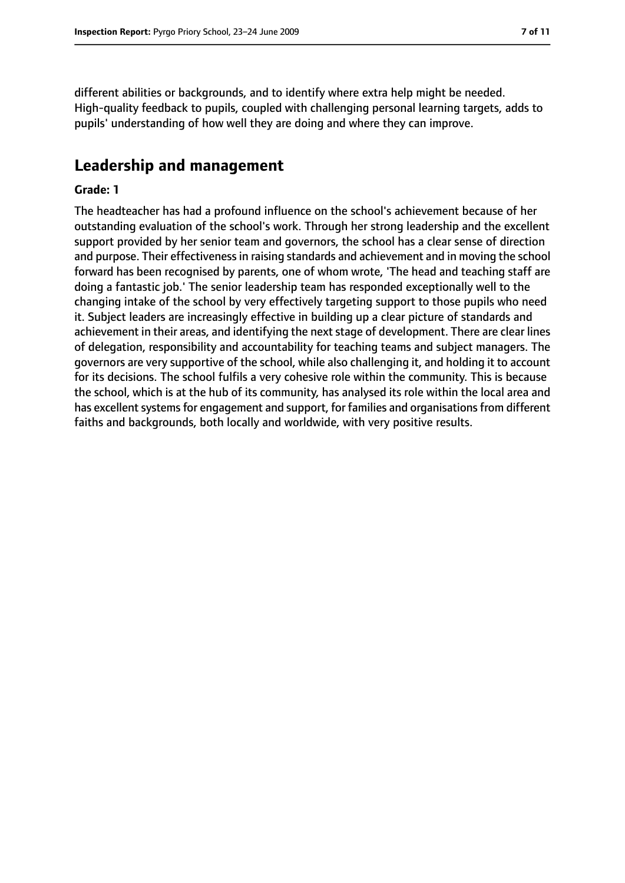different abilities or backgrounds, and to identify where extra help might be needed. High-quality feedback to pupils, coupled with challenging personal learning targets, adds to pupils' understanding of how well they are doing and where they can improve.

## **Leadership and management**

#### **Grade: 1**

The headteacher has had a profound influence on the school's achievement because of her outstanding evaluation of the school's work. Through her strong leadership and the excellent support provided by her senior team and governors, the school has a clear sense of direction and purpose. Their effectiveness in raising standards and achievement and in moving the school forward has been recognised by parents, one of whom wrote, 'The head and teaching staff are doing a fantastic job.' The senior leadership team has responded exceptionally well to the changing intake of the school by very effectively targeting support to those pupils who need it. Subject leaders are increasingly effective in building up a clear picture of standards and achievement in their areas, and identifying the next stage of development. There are clear lines of delegation, responsibility and accountability for teaching teams and subject managers. The governors are very supportive of the school, while also challenging it, and holding it to account for its decisions. The school fulfils a very cohesive role within the community. This is because the school, which is at the hub of its community, has analysed its role within the local area and has excellent systems for engagement and support, for families and organisations from different faiths and backgrounds, both locally and worldwide, with very positive results.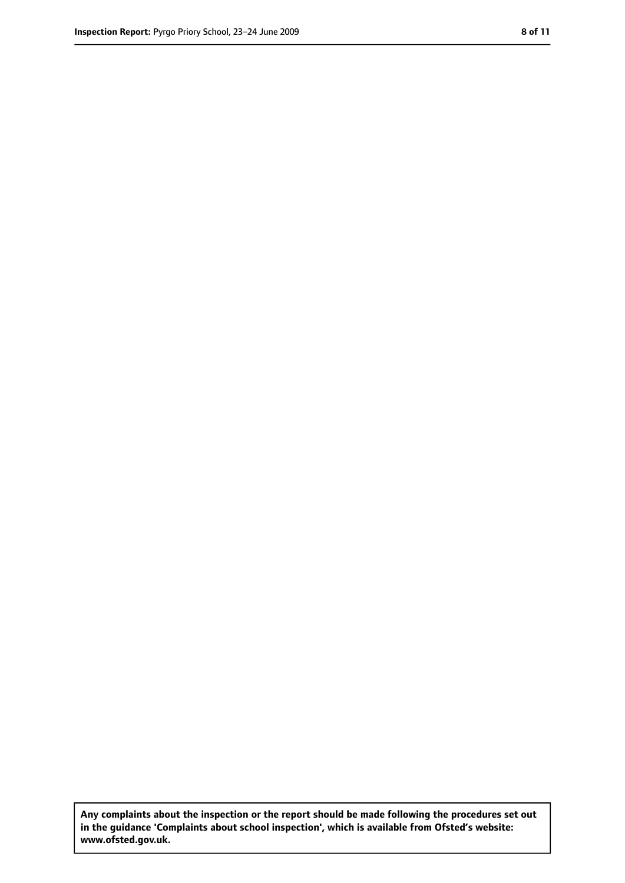**Any complaints about the inspection or the report should be made following the procedures set out in the guidance 'Complaints about school inspection', which is available from Ofsted's website: www.ofsted.gov.uk.**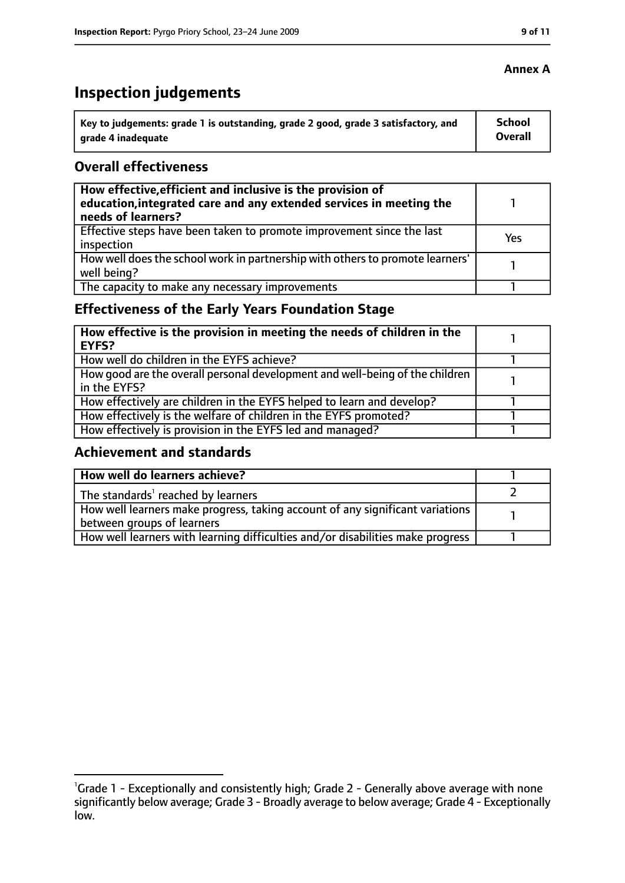# **Inspection judgements**

| ˈ Key to judgements: grade 1 is outstanding, grade 2 good, grade 3 satisfactory, and | <b>School</b>  |
|--------------------------------------------------------------------------------------|----------------|
| arade 4 inadequate                                                                   | <b>Overall</b> |

## **Overall effectiveness**

| How effective, efficient and inclusive is the provision of<br>education, integrated care and any extended services in meeting the<br>needs of learners? |     |
|---------------------------------------------------------------------------------------------------------------------------------------------------------|-----|
| Effective steps have been taken to promote improvement since the last<br>inspection                                                                     | Yes |
| How well does the school work in partnership with others to promote learners'<br>well being?                                                            |     |
| The capacity to make any necessary improvements                                                                                                         |     |

# **Effectiveness of the Early Years Foundation Stage**

| How effective is the provision in meeting the needs of children in the<br>l EYFS?            |  |
|----------------------------------------------------------------------------------------------|--|
| How well do children in the EYFS achieve?                                                    |  |
| How good are the overall personal development and well-being of the children<br>in the EYFS? |  |
| How effectively are children in the EYFS helped to learn and develop?                        |  |
| How effectively is the welfare of children in the EYFS promoted?                             |  |
| How effectively is provision in the EYFS led and managed?                                    |  |

## **Achievement and standards**

| How well do learners achieve?                                                  |  |
|--------------------------------------------------------------------------------|--|
| The standards <sup>1</sup> reached by learners                                 |  |
| How well learners make progress, taking account of any significant variations  |  |
| between groups of learners                                                     |  |
| How well learners with learning difficulties and/or disabilities make progress |  |

## **Annex A**

<sup>&</sup>lt;sup>1</sup>Grade 1 - Exceptionally and consistently high; Grade 2 - Generally above average with none significantly below average; Grade 3 - Broadly average to below average; Grade 4 - Exceptionally low.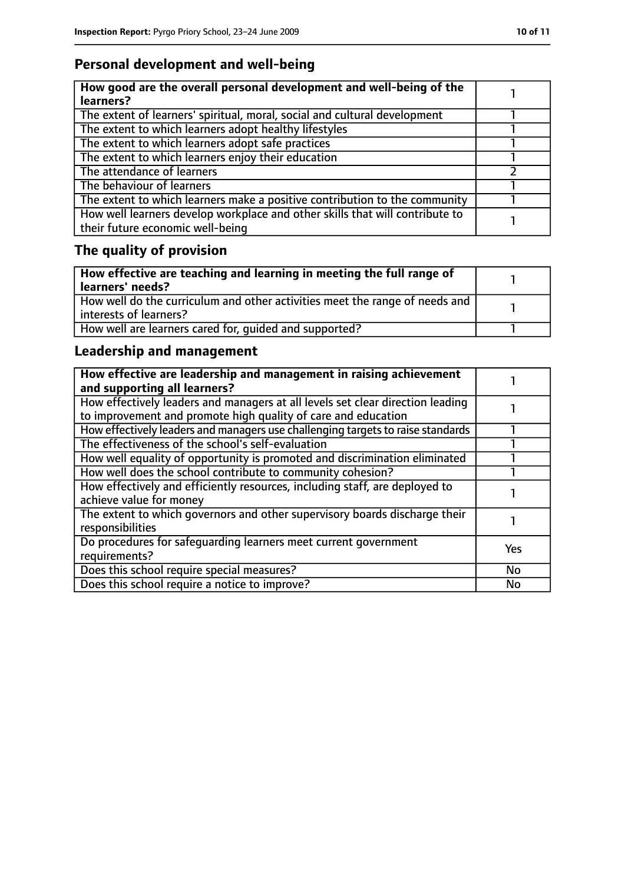# **Personal development and well-being**

| How good are the overall personal development and well-being of the<br>learners?                                 |  |
|------------------------------------------------------------------------------------------------------------------|--|
| The extent of learners' spiritual, moral, social and cultural development                                        |  |
| The extent to which learners adopt healthy lifestyles                                                            |  |
| The extent to which learners adopt safe practices                                                                |  |
| The extent to which learners enjoy their education                                                               |  |
| The attendance of learners                                                                                       |  |
| The behaviour of learners                                                                                        |  |
| The extent to which learners make a positive contribution to the community                                       |  |
| How well learners develop workplace and other skills that will contribute to<br>their future economic well-being |  |

# **The quality of provision**

| How effective are teaching and learning in meeting the full range of<br>learners' needs?              |  |
|-------------------------------------------------------------------------------------------------------|--|
| How well do the curriculum and other activities meet the range of needs and<br>interests of learners? |  |
| How well are learners cared for, quided and supported?                                                |  |

# **Leadership and management**

| How effective are leadership and management in raising achievement<br>and supporting all learners?                                              |            |
|-------------------------------------------------------------------------------------------------------------------------------------------------|------------|
| How effectively leaders and managers at all levels set clear direction leading<br>to improvement and promote high quality of care and education |            |
| How effectively leaders and managers use challenging targets to raise standards                                                                 |            |
| The effectiveness of the school's self-evaluation                                                                                               |            |
| How well equality of opportunity is promoted and discrimination eliminated                                                                      |            |
| How well does the school contribute to community cohesion?                                                                                      |            |
| How effectively and efficiently resources, including staff, are deployed to<br>achieve value for money                                          |            |
| The extent to which governors and other supervisory boards discharge their<br>responsibilities                                                  |            |
| Do procedures for safequarding learners meet current government<br>requirements?                                                                | <b>Yes</b> |
| Does this school require special measures?                                                                                                      | <b>No</b>  |
| Does this school require a notice to improve?                                                                                                   | No         |